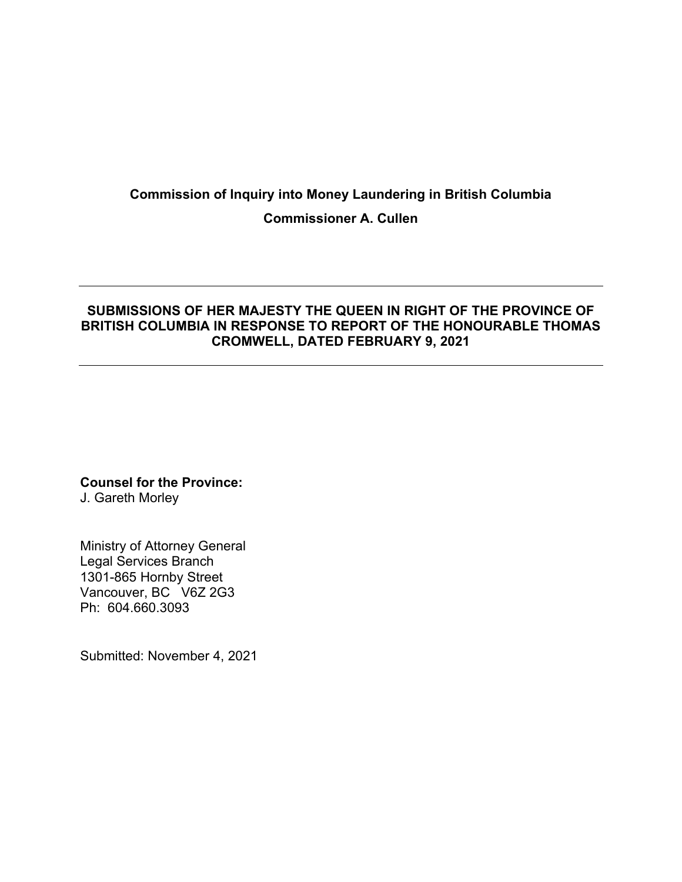# **Commission of Inquiry into Money Laundering in British Columbia Commissioner A. Cullen**

### **SUBMISSIONS OF HER MAJESTY THE QUEEN IN RIGHT OF THE PROVINCE OF BRITISH COLUMBIA IN RESPONSE TO REPORT OF THE HONOURABLE THOMAS CROMWELL, DATED FEBRUARY 9, 2021**

**Counsel for the Province:** 

J. Gareth Morley

Ministry of Attorney General Legal Services Branch 1301-865 Hornby Street Vancouver, BC V6Z 2G3 Ph: 604.660.3093

Submitted: November 4, 2021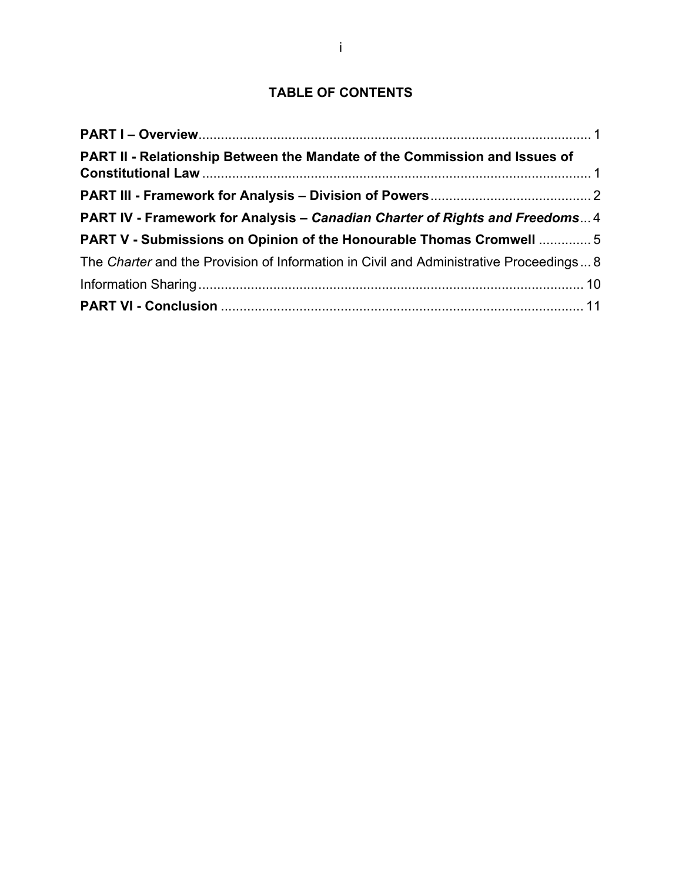# **TABLE OF CONTENTS**

| PART II - Relationship Between the Mandate of the Commission and Issues of             |
|----------------------------------------------------------------------------------------|
|                                                                                        |
| PART IV - Framework for Analysis – Canadian Charter of Rights and Freedoms4            |
| PART V - Submissions on Opinion of the Honourable Thomas Cromwell  5                   |
| The Charter and the Provision of Information in Civil and Administrative Proceedings 8 |
|                                                                                        |
|                                                                                        |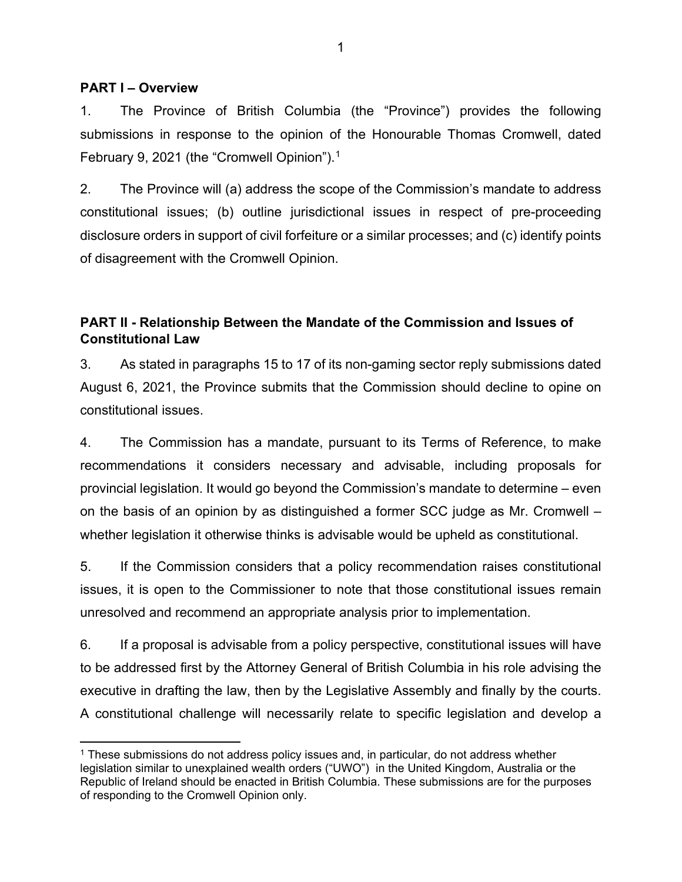#### **PART I – Overview**

1. The Province of British Columbia (the "Province") provides the following submissions in response to the opinion of the Honourable Thomas Cromwell, dated February 9, 2021 (the "Cromwell Opinion").<sup>1</sup>

2. The Province will (a) address the scope of the Commission's mandate to address constitutional issues; (b) outline jurisdictional issues in respect of pre-proceeding disclosure orders in support of civil forfeiture or a similar processes; and (c) identify points of disagreement with the Cromwell Opinion.

## **PART II - Relationship Between the Mandate of the Commission and Issues of Constitutional Law**

3. As stated in paragraphs 15 to 17 of its non-gaming sector reply submissions dated August 6, 2021, the Province submits that the Commission should decline to opine on constitutional issues.

4. The Commission has a mandate, pursuant to its Terms of Reference, to make recommendations it considers necessary and advisable, including proposals for provincial legislation. It would go beyond the Commission's mandate to determine – even on the basis of an opinion by as distinguished a former SCC judge as Mr. Cromwell – whether legislation it otherwise thinks is advisable would be upheld as constitutional.

5. If the Commission considers that a policy recommendation raises constitutional issues, it is open to the Commissioner to note that those constitutional issues remain unresolved and recommend an appropriate analysis prior to implementation.

6. If a proposal is advisable from a policy perspective, constitutional issues will have to be addressed first by the Attorney General of British Columbia in his role advising the executive in drafting the law, then by the Legislative Assembly and finally by the courts. A constitutional challenge will necessarily relate to specific legislation and develop a

 $1$  These submissions do not address policy issues and, in particular, do not address whether legislation similar to unexplained wealth orders ("UWO") in the United Kingdom, Australia or the Republic of Ireland should be enacted in British Columbia. These submissions are for the purposes of responding to the Cromwell Opinion only.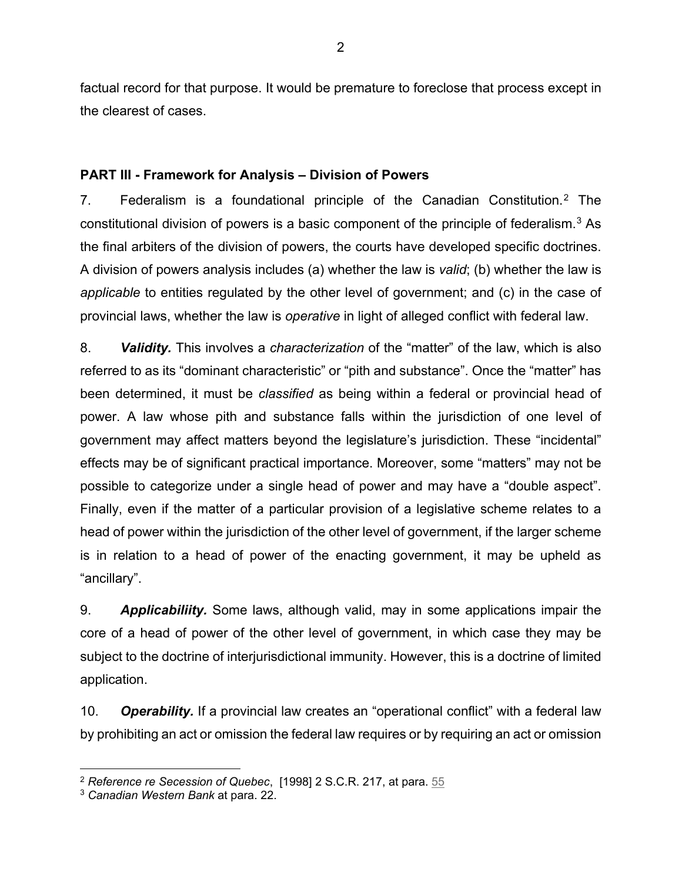factual record for that purpose. It would be premature to foreclose that process except in the clearest of cases.

## **PART III - Framework for Analysis – Division of Powers**

7. Federalism is a foundational principle of the Canadian Constitution.2 The constitutional division of powers is a basic component of the principle of federalism.3 As the final arbiters of the division of powers, the courts have developed specific doctrines. A division of powers analysis includes (a) whether the law is *valid*; (b) whether the law is *applicable* to entities regulated by the other level of government; and (c) in the case of provincial laws, whether the law is *operative* in light of alleged conflict with federal law.

8. *Validity.* This involves a *characterization* of the "matter" of the law, which is also referred to as its "dominant characteristic" or "pith and substance". Once the "matter" has been determined, it must be *classified* as being within a federal or provincial head of power. A law whose pith and substance falls within the jurisdiction of one level of government may affect matters beyond the legislature's jurisdiction. These "incidental" effects may be of significant practical importance. Moreover, some "matters" may not be possible to categorize under a single head of power and may have a "double aspect". Finally, even if the matter of a particular provision of a legislative scheme relates to a head of power within the jurisdiction of the other level of government, if the larger scheme is in relation to a head of power of the enacting government, it may be upheld as "ancillary".

9. *Applicabiliity.* Some laws, although valid, may in some applications impair the core of a head of power of the other level of government, in which case they may be subject to the doctrine of interjurisdictional immunity. However, this is a doctrine of limited application.

10. *Operability.* If a provincial law creates an "operational conflict" with a federal law by prohibiting an act or omission the federal law requires or by requiring an act or omission

<sup>2</sup> *Reference re Secession of Quebec*, [1998] 2 S.C.R. 217, at para. 55

<sup>3</sup> *Canadian Western Bank* at para. 22.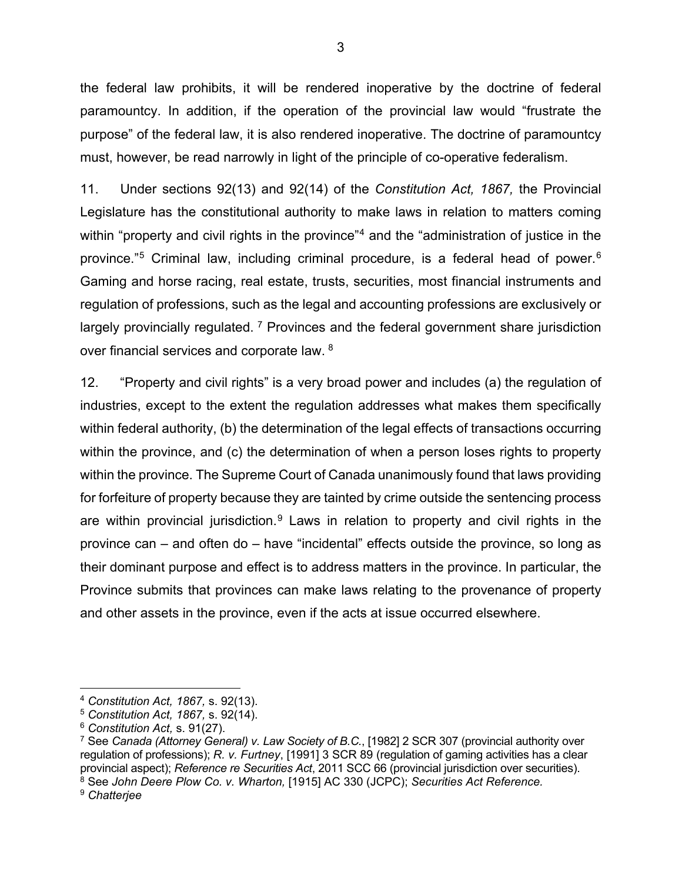the federal law prohibits, it will be rendered inoperative by the doctrine of federal paramountcy. In addition, if the operation of the provincial law would "frustrate the purpose" of the federal law, it is also rendered inoperative. The doctrine of paramountcy must, however, be read narrowly in light of the principle of co-operative federalism.

11. Under sections 92(13) and 92(14) of the *Constitution Act, 1867,* the Provincial Legislature has the constitutional authority to make laws in relation to matters coming within "property and civil rights in the province"<sup>4</sup> and the "administration of justice in the province."5 Criminal law, including criminal procedure, is a federal head of power.6 Gaming and horse racing, real estate, trusts, securities, most financial instruments and regulation of professions, such as the legal and accounting professions are exclusively or largely provincially regulated.<sup>7</sup> Provinces and the federal government share jurisdiction over financial services and corporate law. 8

12. "Property and civil rights" is a very broad power and includes (a) the regulation of industries, except to the extent the regulation addresses what makes them specifically within federal authority, (b) the determination of the legal effects of transactions occurring within the province, and (c) the determination of when a person loses rights to property within the province. The Supreme Court of Canada unanimously found that laws providing for forfeiture of property because they are tainted by crime outside the sentencing process are within provincial jurisdiction.<sup>9</sup> Laws in relation to property and civil rights in the province can – and often do – have "incidental" effects outside the province, so long as their dominant purpose and effect is to address matters in the province. In particular, the Province submits that provinces can make laws relating to the provenance of property and other assets in the province, even if the acts at issue occurred elsewhere.

<sup>4</sup> *Constitution Act, 1867,* s. 92(13).

<sup>5</sup> *Constitution Act, 1867,* s. 92(14).

<sup>6</sup> *Constitution Act,* s. 91(27).

<sup>7</sup> See *Canada (Attorney General) v. Law Society of B.C.*, [1982] 2 SCR 307 (provincial authority over regulation of professions); *R. v. Furtney*, [1991] 3 SCR 89 (regulation of gaming activities has a clear provincial aspect); *Reference re Securities Act*, 2011 SCC 66 (provincial jurisdiction over securities). 8 See *John Deere Plow Co. v. Wharton,* [1915] AC 330 (JCPC); *Securities Act Reference.* 

<sup>9</sup> *Chatterjee*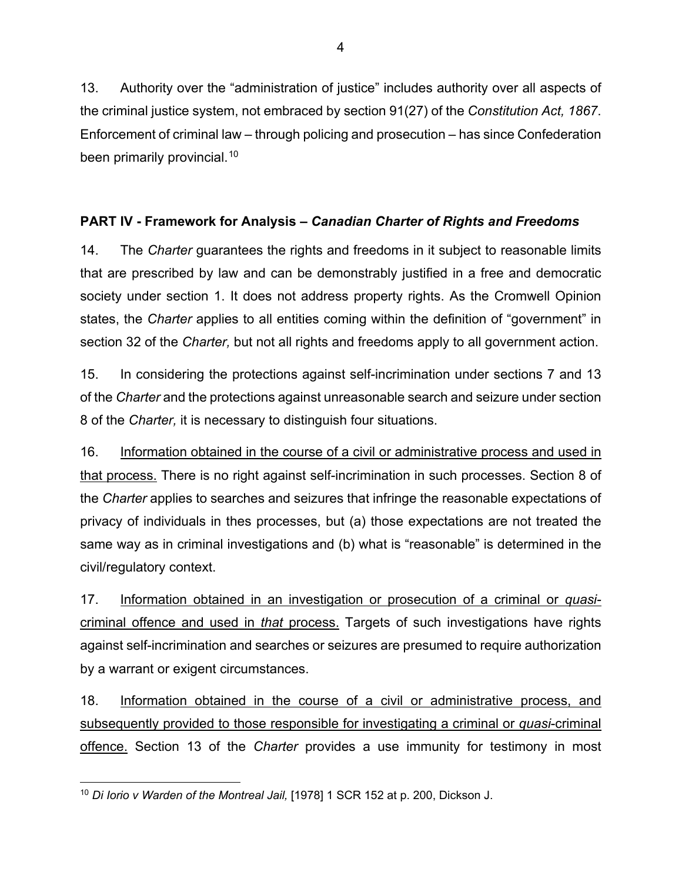13. Authority over the "administration of justice" includes authority over all aspects of the criminal justice system, not embraced by section 91(27) of the *Constitution Act, 1867*. Enforcement of criminal law – through policing and prosecution – has since Confederation been primarily provincial.<sup>10</sup>

# **PART IV - Framework for Analysis –** *Canadian Charter of Rights and Freedoms*

14. The *Charter* guarantees the rights and freedoms in it subject to reasonable limits that are prescribed by law and can be demonstrably justified in a free and democratic society under section 1. It does not address property rights. As the Cromwell Opinion states, the *Charter* applies to all entities coming within the definition of "government" in section 32 of the *Charter,* but not all rights and freedoms apply to all government action.

15. In considering the protections against self-incrimination under sections 7 and 13 of the *Charter* and the protections against unreasonable search and seizure under section 8 of the *Charter,* it is necessary to distinguish four situations.

16. Information obtained in the course of a civil or administrative process and used in that process. There is no right against self-incrimination in such processes. Section 8 of the *Charter* applies to searches and seizures that infringe the reasonable expectations of privacy of individuals in thes processes, but (a) those expectations are not treated the same way as in criminal investigations and (b) what is "reasonable" is determined in the civil/regulatory context.

17. Information obtained in an investigation or prosecution of a criminal or *quasi*criminal offence and used in *that* process. Targets of such investigations have rights against self-incrimination and searches or seizures are presumed to require authorization by a warrant or exigent circumstances.

18. Information obtained in the course of a civil or administrative process, and subsequently provided to those responsible for investigating a criminal or *quasi*-criminal offence. Section 13 of the *Charter* provides a use immunity for testimony in most

<sup>10</sup> *Di Iorio v Warden of the Montreal Jail,* [1978] 1 SCR 152 at p. 200, Dickson J.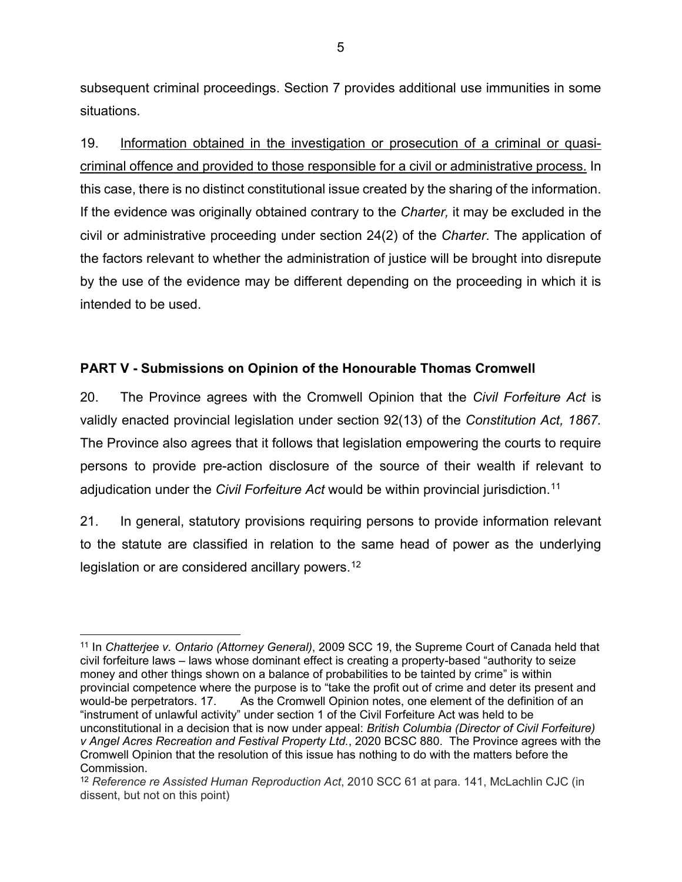subsequent criminal proceedings. Section 7 provides additional use immunities in some situations.

19. Information obtained in the investigation or prosecution of a criminal or quasicriminal offence and provided to those responsible for a civil or administrative process. In this case, there is no distinct constitutional issue created by the sharing of the information. If the evidence was originally obtained contrary to the *Charter,* it may be excluded in the civil or administrative proceeding under section 24(2) of the *Charter*. The application of the factors relevant to whether the administration of justice will be brought into disrepute by the use of the evidence may be different depending on the proceeding in which it is intended to be used.

### **PART V - Submissions on Opinion of the Honourable Thomas Cromwell**

20. The Province agrees with the Cromwell Opinion that the *Civil Forfeiture Act* is validly enacted provincial legislation under section 92(13) of the *Constitution Act, 1867.*  The Province also agrees that it follows that legislation empowering the courts to require persons to provide pre-action disclosure of the source of their wealth if relevant to adjudication under the *Civil Forfeiture Act* would be within provincial jurisdiction.11

21. In general, statutory provisions requiring persons to provide information relevant to the statute are classified in relation to the same head of power as the underlying legislation or are considered ancillary powers.<sup>12</sup>

<sup>11</sup> In *Chatterjee v. Ontario (Attorney General)*, 2009 SCC 19, the Supreme Court of Canada held that civil forfeiture laws – laws whose dominant effect is creating a property-based "authority to seize money and other things shown on a balance of probabilities to be tainted by crime" is within provincial competence where the purpose is to "take the profit out of crime and deter its present and would-be perpetrators. 17. As the Cromwell Opinion notes, one element of the definition of an "instrument of unlawful activity" under section 1 of the Civil Forfeiture Act was held to be unconstitutional in a decision that is now under appeal: *British Columbia (Director of Civil Forfeiture) v Angel Acres Recreation and Festival Property Ltd.*, 2020 BCSC 880. The Province agrees with the Cromwell Opinion that the resolution of this issue has nothing to do with the matters before the Commission.

<sup>12</sup> *Reference re Assisted Human Reproduction Act*, 2010 SCC 61 at para. 141, McLachlin CJC (in dissent, but not on this point)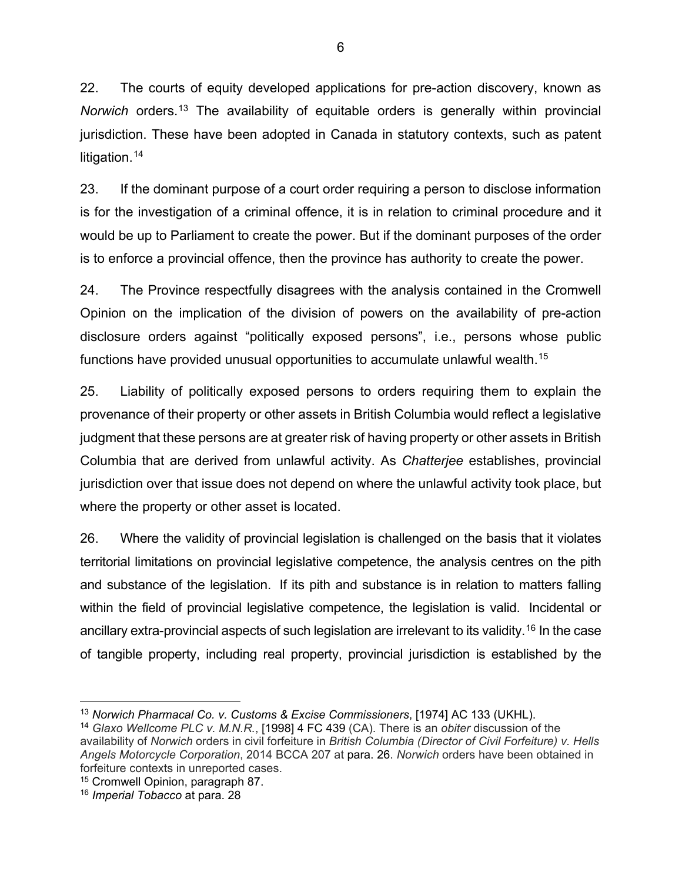22. The courts of equity developed applications for pre-action discovery, known as *Norwich* orders.13 The availability of equitable orders is generally within provincial jurisdiction. These have been adopted in Canada in statutory contexts, such as patent litigation.<sup>14</sup>

23. If the dominant purpose of a court order requiring a person to disclose information is for the investigation of a criminal offence, it is in relation to criminal procedure and it would be up to Parliament to create the power. But if the dominant purposes of the order is to enforce a provincial offence, then the province has authority to create the power.

24. The Province respectfully disagrees with the analysis contained in the Cromwell Opinion on the implication of the division of powers on the availability of pre-action disclosure orders against "politically exposed persons", i.e., persons whose public functions have provided unusual opportunities to accumulate unlawful wealth.15

25. Liability of politically exposed persons to orders requiring them to explain the provenance of their property or other assets in British Columbia would reflect a legislative judgment that these persons are at greater risk of having property or other assets in British Columbia that are derived from unlawful activity. As *Chatterjee* establishes, provincial jurisdiction over that issue does not depend on where the unlawful activity took place, but where the property or other asset is located.

26. Where the validity of provincial legislation is challenged on the basis that it violates territorial limitations on provincial legislative competence, the analysis centres on the pith and substance of the legislation. If its pith and substance is in relation to matters falling within the field of provincial legislative competence, the legislation is valid. Incidental or ancillary extra-provincial aspects of such legislation are irrelevant to its validity.<sup>16</sup> In the case of tangible property, including real property, provincial jurisdiction is established by the

<sup>13</sup> *Norwich Pharmacal Co. v. Customs & Excise Commissioners*, [1974] AC 133 (UKHL).

<sup>14</sup> *Glaxo Wellcome PLC v. M.N.R.*, [1998] 4 FC 439 (CA). There is an *obiter* discussion of the availability of *Norwich* orders in civil forfeiture in *British Columbia (Director of Civil Forfeiture) v. Hells Angels Motorcycle Corporation*, 2014 BCCA 207 at para. 26. *Norwich* orders have been obtained in forfeiture contexts in unreported cases.

<sup>15</sup> Cromwell Opinion, paragraph 87.

<sup>16</sup> *Imperial Tobacco* at para. 28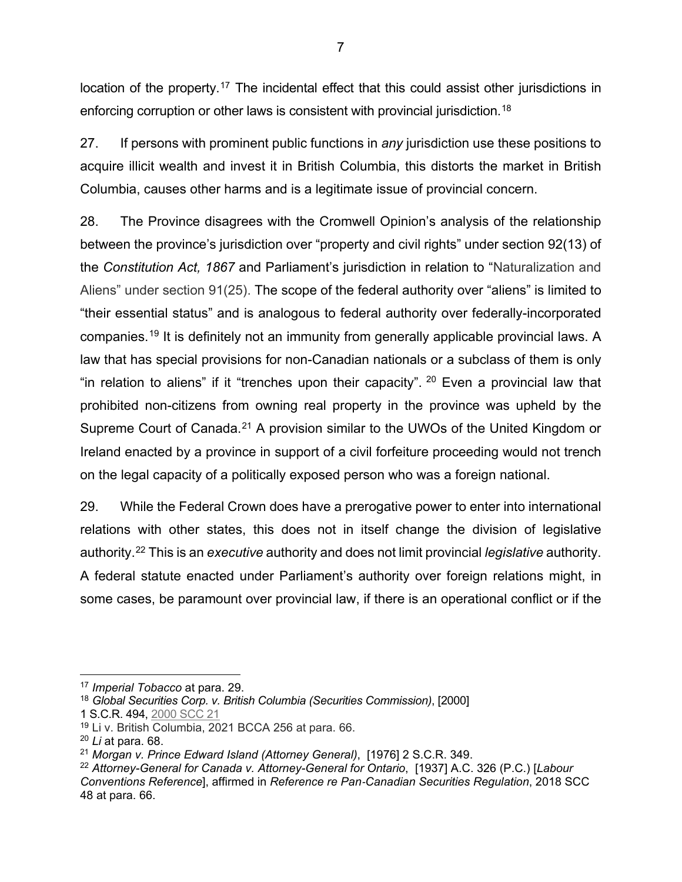location of the property.<sup>17</sup> The incidental effect that this could assist other jurisdictions in enforcing corruption or other laws is consistent with provincial jurisdiction.<sup>18</sup>

27. If persons with prominent public functions in *any* jurisdiction use these positions to acquire illicit wealth and invest it in British Columbia, this distorts the market in British Columbia, causes other harms and is a legitimate issue of provincial concern.

28. The Province disagrees with the Cromwell Opinion's analysis of the relationship between the province's jurisdiction over "property and civil rights" under section 92(13) of the *Constitution Act, 1867* and Parliament's jurisdiction in relation to "Naturalization and Aliens" under section 91(25). The scope of the federal authority over "aliens" is limited to "their essential status" and is analogous to federal authority over federally-incorporated companies.19 It is definitely not an immunity from generally applicable provincial laws. A law that has special provisions for non-Canadian nationals or a subclass of them is only "in relation to aliens" if it "trenches upon their capacity". 20 Even a provincial law that prohibited non-citizens from owning real property in the province was upheld by the Supreme Court of Canada.<sup>21</sup> A provision similar to the UWOs of the United Kingdom or Ireland enacted by a province in support of a civil forfeiture proceeding would not trench on the legal capacity of a politically exposed person who was a foreign national.

29. While the Federal Crown does have a prerogative power to enter into international relations with other states, this does not in itself change the division of legislative authority.22 This is an *executive* authority and does not limit provincial *legislative* authority. A federal statute enacted under Parliament's authority over foreign relations might, in some cases, be paramount over provincial law, if there is an operational conflict or if the

<sup>17</sup> *Imperial Tobacco* at para. 29.

<sup>18</sup> *Global Securities Corp. v. British Columbia (Securities Commission)*, [2000]

<sup>1</sup> S.C.R. 494, 2000 SCC 21

<sup>19</sup> Li v. British Columbia, 2021 BCCA 256 at para. 66.

<sup>20</sup> *Li* at para. 68.

<sup>21</sup> *Morgan v. Prince Edward Island (Attorney General)*, [1976] 2 S.C.R. 349.

<sup>22</sup> *Attorney-General for Canada v. Attorney-General for Ontario*, [1937] A.C. 326 (P.C.) [*Labour Conventions Reference*], affirmed in *Reference re Pan*-*Canadian Securities Regulation*, 2018 SCC 48 at para. 66.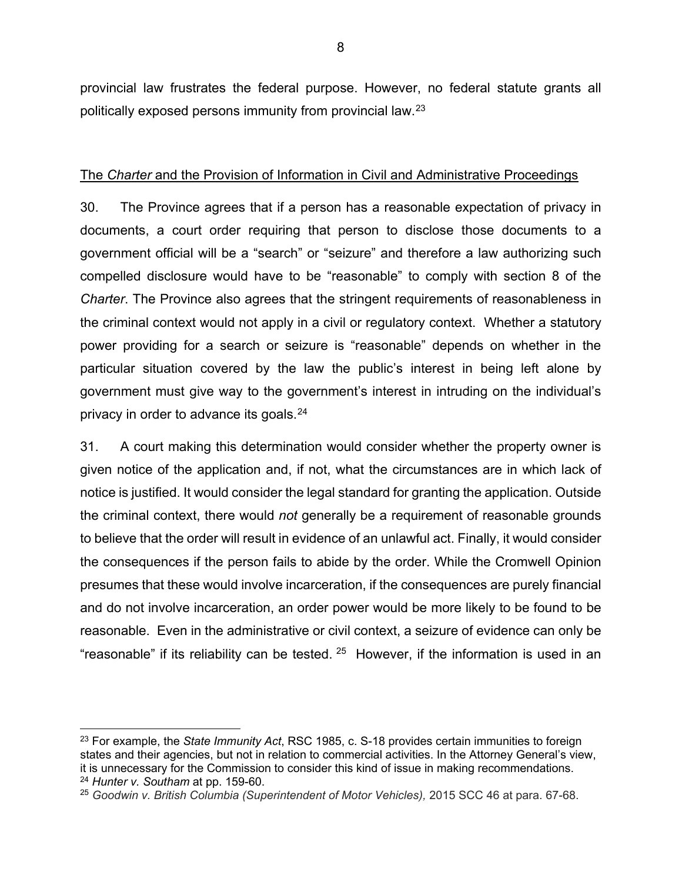provincial law frustrates the federal purpose. However, no federal statute grants all politically exposed persons immunity from provincial law.23

### The *Charter* and the Provision of Information in Civil and Administrative Proceedings

30. The Province agrees that if a person has a reasonable expectation of privacy in documents, a court order requiring that person to disclose those documents to a government official will be a "search" or "seizure" and therefore a law authorizing such compelled disclosure would have to be "reasonable" to comply with section 8 of the *Charter*. The Province also agrees that the stringent requirements of reasonableness in the criminal context would not apply in a civil or regulatory context. Whether a statutory power providing for a search or seizure is "reasonable" depends on whether in the particular situation covered by the law the public's interest in being left alone by government must give way to the government's interest in intruding on the individual's privacy in order to advance its goals.<sup>24</sup>

31. A court making this determination would consider whether the property owner is given notice of the application and, if not, what the circumstances are in which lack of notice is justified. It would consider the legal standard for granting the application. Outside the criminal context, there would *not* generally be a requirement of reasonable grounds to believe that the order will result in evidence of an unlawful act. Finally, it would consider the consequences if the person fails to abide by the order. While the Cromwell Opinion presumes that these would involve incarceration, if the consequences are purely financial and do not involve incarceration, an order power would be more likely to be found to be reasonable. Even in the administrative or civil context, a seizure of evidence can only be "reasonable" if its reliability can be tested.  $25$  However, if the information is used in an

<sup>23</sup> For example, the *State Immunity Act*, RSC 1985, c. S-18 provides certain immunities to foreign states and their agencies, but not in relation to commercial activities. In the Attorney General's view, it is unnecessary for the Commission to consider this kind of issue in making recommendations. <sup>24</sup> *Hunter v. Southam* at pp. 159-60.

<sup>25</sup> *Goodwin v. British Columbia (Superintendent of Motor Vehicles),* 2015 SCC 46 at para. 67-68.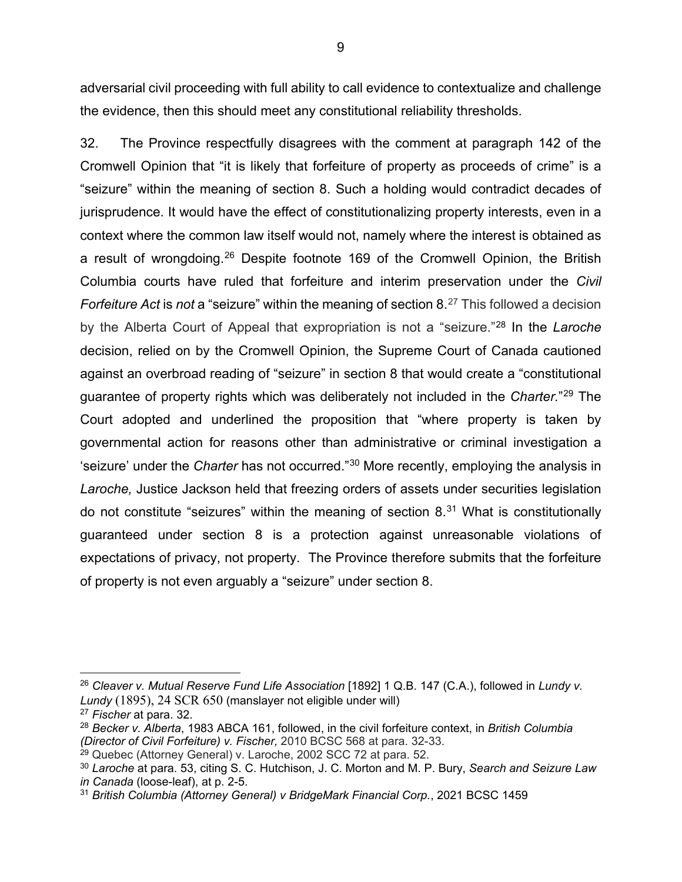adversarial civil proceeding with full ability to call evidence to contextualize and challenge the evidence, then this should meet any constitutional reliability thresholds.

32. The Province respectfully disagrees with the comment at paragraph 142 of the Cromwell Opinion that "it is likely that forfeiture of property as proceeds of crime" is a "seizure" within the meaning of section 8. Such a holding would contradict decades of jurisprudence. It would have the effect of constitutionalizing property interests, even in a context where the common law itself would not, namely where the interest is obtained as a result of wrongdoing.26 Despite footnote 169 of the Cromwell Opinion, the British Columbia courts have ruled that forfeiture and interim preservation under the *Civil Forfeiture Act* is *not* a "seizure" within the meaning of section 8.<sup>27</sup> This followed a decision by the Alberta Court of Appeal that expropriation is not a "seizure."28 In the *Laroche*  decision, relied on by the Cromwell Opinion, the Supreme Court of Canada cautioned against an overbroad reading of "seizure" in section 8 that would create a "constitutional guarantee of property rights which was deliberately not included in the *Charter.*"29 The Court adopted and underlined the proposition that "where property is taken by governmental action for reasons other than administrative or criminal investigation a 'seizure' under the *Charter* has not occurred."30 More recently, employing the analysis in *Laroche,* Justice Jackson held that freezing orders of assets under securities legislation do not constitute "seizures" within the meaning of section  $8<sup>31</sup>$  What is constitutionally guaranteed under section 8 is a protection against unreasonable violations of expectations of privacy, not property. The Province therefore submits that the forfeiture of property is not even arguably a "seizure" under section 8.

<sup>&</sup>lt;sup>26</sup> Cleaver v. Mutual Reserve Fund Life Association [1892] 1 Q.B. 147 (C.A.), followed in Lundy v. *Lundy* (1895), 24 SCR 650 (manslayer not eligible under will)

<sup>27</sup> *Fischer* at para. 32.

<sup>28</sup> *Becker v. Alberta*, 1983 ABCA 161, followed, in the civil forfeiture context, in *British Columbia (Director of Civil Forfeiture) v. Fischer,* 2010 BCSC 568 at para. 32-33.

<sup>&</sup>lt;sup>29</sup> Quebec (Attorney General) v. Laroche, 2002 SCC 72 at para. 52.

<sup>30</sup> *Laroche* at para. 53, citing S. C. Hutchison, J. C. Morton and M. P. Bury, *Search and Seizure Law in Canada* (loose-leaf), at p. 2-5.

<sup>31</sup> *British Columbia (Attorney General) v BridgeMark Financial Corp.*, 2021 BCSC 1459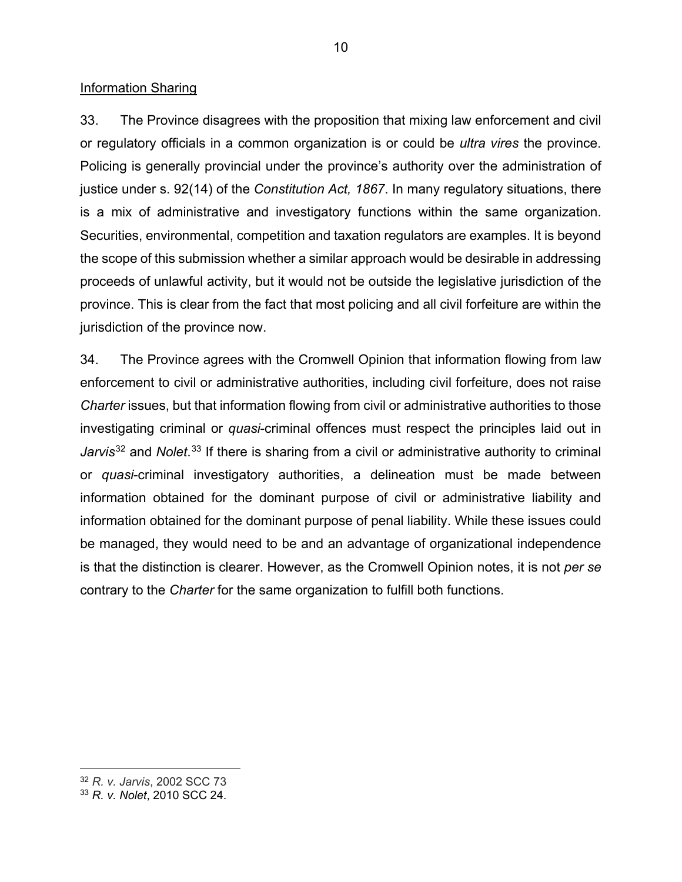#### Information Sharing

33. The Province disagrees with the proposition that mixing law enforcement and civil or regulatory officials in a common organization is or could be *ultra vires* the province. Policing is generally provincial under the province's authority over the administration of justice under s. 92(14) of the *Constitution Act, 1867*. In many regulatory situations, there is a mix of administrative and investigatory functions within the same organization. Securities, environmental, competition and taxation regulators are examples. It is beyond the scope of this submission whether a similar approach would be desirable in addressing proceeds of unlawful activity, but it would not be outside the legislative jurisdiction of the province. This is clear from the fact that most policing and all civil forfeiture are within the jurisdiction of the province now.

34. The Province agrees with the Cromwell Opinion that information flowing from law enforcement to civil or administrative authorities, including civil forfeiture, does not raise *Charter* issues, but that information flowing from civil or administrative authorities to those investigating criminal or *quasi*-criminal offences must respect the principles laid out in Jarvis<sup>32</sup> and *Nolet*.<sup>33</sup> If there is sharing from a civil or administrative authority to criminal or *quasi*-criminal investigatory authorities, a delineation must be made between information obtained for the dominant purpose of civil or administrative liability and information obtained for the dominant purpose of penal liability. While these issues could be managed, they would need to be and an advantage of organizational independence is that the distinction is clearer. However, as the Cromwell Opinion notes, it is not *per se*  contrary to the *Charter* for the same organization to fulfill both functions.

<sup>32</sup> *R. v. Jarvis*, 2002 SCC 73

<sup>33</sup> *R. v. Nolet*, 2010 SCC 24.